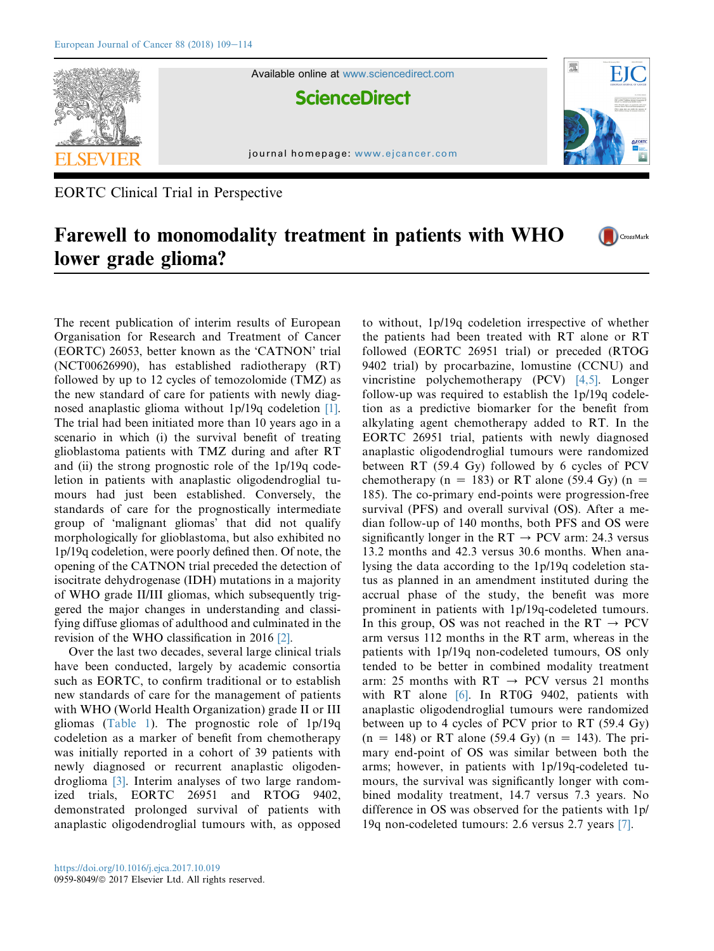

EORTC Clinical Trial in Perspective

## Farewell to monomodality treatment in patients with WHO CrossMark lower grade glioma?

The recent publication of interim results of European Organisation for Research and Treatment of Cancer (EORTC) 26053, better known as the 'CATNON' trial (NCT00626990), has established radiotherapy (RT) followed by up to 12 cycles of temozolomide (TMZ) as the new standard of care for patients with newly diagnosed anaplastic glioma without 1p/19q codeletion [\[1\].](#page-4-0) The trial had been initiated more than 10 years ago in a scenario in which (i) the survival benefit of treating glioblastoma patients with TMZ during and after RT and (ii) the strong prognostic role of the 1p/19q codeletion in patients with anaplastic oligodendroglial tumours had just been established. Conversely, the standards of care for the prognostically intermediate group of 'malignant gliomas' that did not qualify morphologically for glioblastoma, but also exhibited no 1p/19q codeletion, were poorly defined then. Of note, the opening of the CATNON trial preceded the detection of isocitrate dehydrogenase (IDH) mutations in a majority of WHO grade II/III gliomas, which subsequently triggered the major changes in understanding and classifying diffuse gliomas of adulthood and culminated in the revision of the WHO classification in 2016 [\[2\].](#page-4-0)

Over the last two decades, several large clinical trials have been conducted, largely by academic consortia such as EORTC, to confirm traditional or to establish new standards of care for the management of patients with WHO (World Health Organization) grade II or III gliomas [\(Table 1\)](#page-1-0). The prognostic role of 1p/19q codeletion as a marker of benefit from chemotherapy was initially reported in a cohort of 39 patients with newly diagnosed or recurrent anaplastic oligodendroglioma [\[3\].](#page-4-0) Interim analyses of two large randomized trials, EORTC 26951 and RTOG 9402, demonstrated prolonged survival of patients with anaplastic oligodendroglial tumours with, as opposed to without, 1p/19q codeletion irrespective of whether the patients had been treated with RT alone or RT followed (EORTC 26951 trial) or preceded (RTOG 9402 trial) by procarbazine, lomustine (CCNU) and vincristine polychemotherapy (PCV) [\[4,5\].](#page-4-0) Longer follow-up was required to establish the 1p/19q codeletion as a predictive biomarker for the benefit from alkylating agent chemotherapy added to RT. In the EORTC 26951 trial, patients with newly diagnosed anaplastic oligodendroglial tumours were randomized between RT (59.4 Gy) followed by 6 cycles of PCV chemotherapy (n = 183) or RT alone (59.4 Gy) (n = 185). The co-primary end-points were progression-free survival (PFS) and overall survival (OS). After a median follow-up of 140 months, both PFS and OS were significantly longer in the RT  $\rightarrow$  PCV arm: 24.3 versus 13.2 months and 42.3 versus 30.6 months. When analysing the data according to the 1p/19q codeletion status as planned in an amendment instituted during the accrual phase of the study, the benefit was more prominent in patients with 1p/19q-codeleted tumours. In this group, OS was not reached in the  $RT \rightarrow PCV$ arm versus 112 months in the RT arm, whereas in the patients with 1p/19q non-codeleted tumours, OS only tended to be better in combined modality treatment arm: 25 months with  $RT \rightarrow PCV$  versus 21 months with RT alone [\[6\].](#page-4-0) In RT0G 9402, patients with anaplastic oligodendroglial tumours were randomized between up to 4 cycles of PCV prior to RT (59.4 Gy)  $(n = 148)$  or RT alone (59.4 Gy)  $(n = 143)$ . The primary end-point of OS was similar between both the arms; however, in patients with 1p/19q-codeleted tumours, the survival was significantly longer with combined modality treatment, 14.7 versus 7.3 years. No difference in OS was observed for the patients with 1p/ 19q non-codeleted tumours: 2.6 versus 2.7 years [\[7\]](#page-4-0).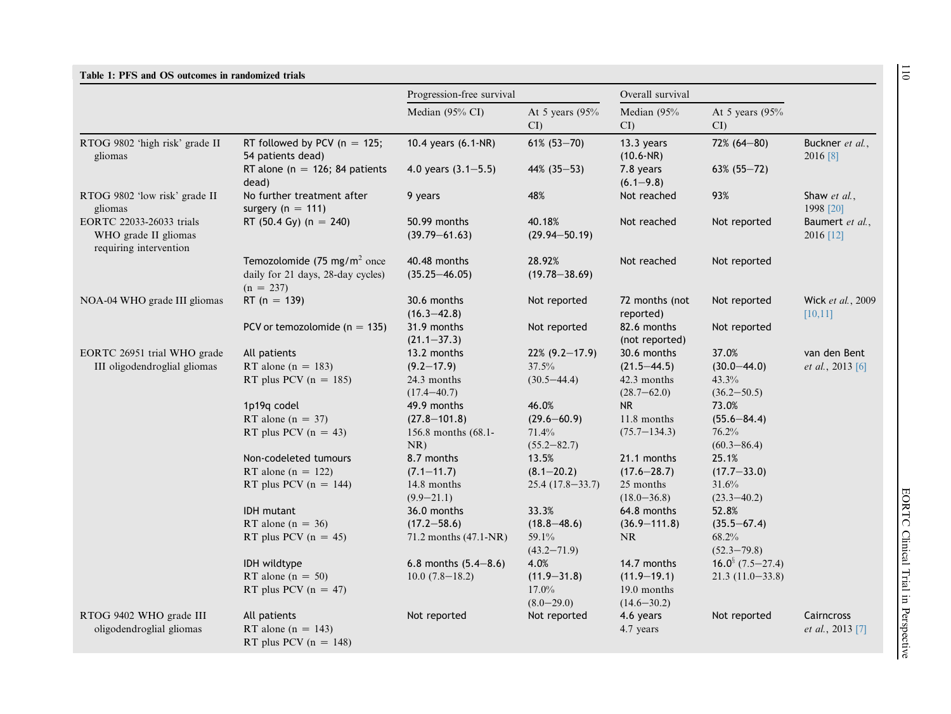<span id="page-1-0"></span>

|                                                                            |                                                                                                           | Overall survival<br>Progression-free survival |                                   |                                |                                                               |                               |
|----------------------------------------------------------------------------|-----------------------------------------------------------------------------------------------------------|-----------------------------------------------|-----------------------------------|--------------------------------|---------------------------------------------------------------|-------------------------------|
|                                                                            |                                                                                                           | Median (95% CI)                               | At 5 years $(95%$<br>$\mathbf{C}$ | Median (95%<br>CI              | At 5 years $(95%$<br>$\overline{\text{CI}}$                   |                               |
| RTOG 9802 'high risk' grade II<br>gliomas                                  | RT followed by PCV ( $n = 125$ ;<br>54 patients dead)                                                     | 10.4 years (6.1-NR)                           | $61\%$ (53-70)                    | 13.3 years<br>$(10.6-NR)$      | 72% (64-80)                                                   | Buckner et al.,<br>2016 [8]   |
|                                                                            | RT alone ( $n = 126$ ; 84 patients<br>dead)                                                               | 4.0 years $(3.1 - 5.5)$                       | $44\%$ (35-53)                    | 7.8 years<br>$(6.1 - 9.8)$     | $63\%$ (55-72)                                                |                               |
| RTOG 9802 'low risk' grade II<br>gliomas                                   | No further treatment after<br>surgery ( $n = 111$ )                                                       | 9 years                                       | 48%                               | Not reached                    | 93%                                                           | Shaw et al.,<br>1998 [20]     |
| EORTC 22033-26033 trials<br>WHO grade II gliomas<br>requiring intervention | RT (50.4 Gy) (n = 240)<br>50.99 months<br>40.18%<br>Not reached<br>$(39.79 - 61.63)$<br>$(29.94 - 50.19)$ | Not reported                                  | Baumert et al.,<br>2016 [12]      |                                |                                                               |                               |
|                                                                            | Temozolomide (75 mg/m <sup>2</sup> once<br>daily for 21 days, 28-day cycles)<br>$(n = 237)$               | 40.48 months<br>$(35.25 - 46.05)$             | 28.92%<br>$(19.78 - 38.69)$       | Not reached                    | Not reported                                                  |                               |
| NOA-04 WHO grade III gliomas                                               | RT ( $n = 139$ )                                                                                          | 30.6 months<br>$(16.3 - 42.8)$                | Not reported                      | 72 months (not<br>reported)    | Not reported                                                  | Wick et al., 2009<br>[10, 11] |
|                                                                            | PCV or temozolomide ( $n = 135$ )                                                                         | 31.9 months<br>$(21.1 - 37.3)$                | Not reported                      | 82.6 months<br>(not reported)  | Not reported<br>37.0%                                         |                               |
| EORTC 26951 trial WHO grade                                                | All patients                                                                                              | 13.2 months                                   | $22\%$ (9.2-17.9)                 | 30.6 months                    |                                                               | van den Bent                  |
| III oligodendroglial gliomas                                               | RT alone ( $n = 183$ )                                                                                    | $(9.2 - 17.9)$                                | 37.5%                             | $(21.5 - 44.5)$                | $(30.0 - 44.0)$                                               | <i>et al.</i> , 2013 [6]      |
|                                                                            | RT plus PCV ( $n = 185$ )                                                                                 | 24.3 months                                   | $(30.5 - 44.4)$                   | 42.3 months                    | 43.3%                                                         |                               |
|                                                                            |                                                                                                           | $(17.4 - 40.7)$                               |                                   | $(28.7 - 62.0)$                | $(36.2 - 50.5)$                                               |                               |
|                                                                            | 1p19q codel                                                                                               | 49.9 months                                   | 46.0%                             | NR                             | 73.0%<br>$(55.6 - 84.4)$<br>76.2%<br>$(60.3 - 86.4)$<br>25.1% |                               |
|                                                                            | RT alone ( $n = 37$ )                                                                                     | $(27.8 - 101.8)$                              | $(29.6 - 60.9)$                   | 11.8 months                    |                                                               |                               |
|                                                                            | RT plus PCV $(n = 43)$                                                                                    | 156.8 months (68.1-<br>NR)                    | 71.4%<br>$(55.2 - 82.7)$          | $(75.7 - 134.3)$               |                                                               |                               |
|                                                                            | Non-codeleted tumours                                                                                     | 8.7 months                                    | 13.5%                             | 21.1 months                    |                                                               |                               |
|                                                                            | RT alone ( $n = 122$ )                                                                                    | $(7.1 - 11.7)$                                | $(8.1 - 20.2)$                    | $(17.6 - 28.7)$                | $(17.7 - 33.0)$                                               |                               |
|                                                                            | RT plus PCV $(n = 144)$                                                                                   | 14.8 months<br>$(9.9 - 21.1)$                 | $25.4(17.8-33.7)$                 | 25 months<br>$(18.0 - 36.8)$   | 31.6%<br>$(23.3 - 40.2)$                                      |                               |
|                                                                            | <b>IDH</b> mutant                                                                                         | 36.0 months                                   | 33.3%                             | 64.8 months                    | 52.8%                                                         |                               |
|                                                                            | RT alone ( $n = 36$ )                                                                                     | $(17.2 - 58.6)$                               | $(18.8 - 48.6)$                   | $(36.9 - 111.8)$               | $(35.5 - 67.4)$                                               |                               |
|                                                                            | RT plus PCV $(n = 45)$                                                                                    | 71.2 months (47.1-NR)                         | 59.1%<br>$(43.2 - 71.9)$          | $\rm NR$                       | 68.2%<br>$(52.3 - 79.8)$                                      |                               |
|                                                                            | IDH wildtype                                                                                              | 6.8 months $(5.4-8.6)$                        | 4.0%                              | 14.7 months                    | $16.0^{\S}$ (7.5-27.4)                                        |                               |
|                                                                            | RT alone $(n = 50)$                                                                                       | $10.0(7.8-18.2)$                              | $(11.9 - 31.8)$                   | $(11.9 - 19.1)$                | $21.3(11.0-33.8)$                                             |                               |
|                                                                            | RT plus PCV $(n = 47)$                                                                                    |                                               | $17.0\%$<br>$(8.0 - 29.0)$        | 19.0 months<br>$(14.6 - 30.2)$ |                                                               |                               |
| RTOG 9402 WHO grade III                                                    | All patients                                                                                              | Not reported                                  | Not reported                      | 4.6 years                      | Not reported                                                  | Cairncross                    |
| oligodendroglial gliomas                                                   | RT alone ( $n = 143$ )<br>RT plus PCV $(n = 148)$                                                         |                                               |                                   | 4.7 years                      |                                                               | et al., 2013 [7]              |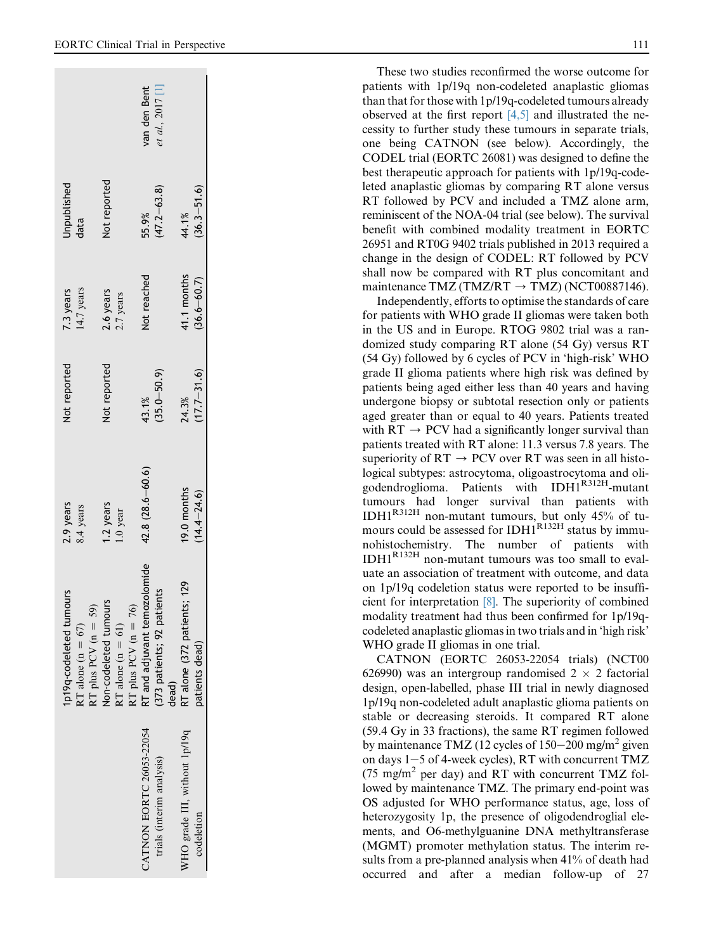|                                                                             |                                                                          | van den Bent<br>et al., 2017 [1]                                   |                                               |
|-----------------------------------------------------------------------------|--------------------------------------------------------------------------|--------------------------------------------------------------------|-----------------------------------------------|
| Unpublished<br>data                                                         | Not reported                                                             | $(47.2 - 63.8)$<br>55.9%                                           | $(36.3 - 51.6)$<br>44.1%                      |
| 14.7 years<br>7.3 years                                                     | 2.6 years<br>2.7 years                                                   | Not reached                                                        | 41.1 months<br>$(36.6 - 60.7)$                |
| Not reported                                                                | Not reported                                                             | $(35.0 - 50.9)$<br>43.1%                                           | $(17.7 - 31.6)$<br>24.3%                      |
| 2.9 years<br>8.4 years                                                      | 1.2 years<br>1.0 year                                                    | $42.8(28.6 - 60.6)$                                                | 19.0 months<br>$(14.4 - 24.6)$                |
| 1p19q-codeleted tumours<br>RT plus PCV ( $n = 59$ )<br>RT alone (n = $67$ ) | Non-codeleted tumours<br>RT plus PCV ( $n = 76$ )<br>RT alone $(n = 61)$ | RT and adjuvant temozolomide<br>373 patients; 92 patients<br>dead) | RT alone (372 patients; 129<br>patients dead) |
|                                                                             |                                                                          | CATNON EORTC 26053-22054<br>trials (interim analysis)              | WHO grade III, without 1p/19q<br>codeletion   |

These two studies reconfirmed the worse outcome for patients with 1p/19q non-codeleted anaplastic gliomas than that for those with 1p/19q-codeleted tumours already observed at the first report  $[4,5]$  and illustrated the necessity to further study these tumours in separate trials, one being CATNON (see below). Accordingly, the CODEL trial (EORTC 26081) was designed to define the best therapeutic approach for patients with 1p/19q-codeleted anaplastic gliomas by comparing RT alone versus RT followed by PCV and included a TMZ alone arm, reminiscent of the NOA-04 trial (see below). The survival benefit with combined modality treatment in EORTC 26951 and RT0G 9402 trials published in 2013 required a change in the design of CODEL: RT followed by PCV shall now be compared with RT plus concomitant and maintenance TMZ (TMZ/RT  $\rightarrow$  TMZ) (NCT00887146). Independently, efforts to optimise the standards of care

for patients with WHO grade II gliomas were taken both in the US and in Europe. RTOG 9802 trial was a randomized study comparing RT alone (54 Gy) versus RT (54 Gy) followed by 6 cycles of PCV in 'high-risk' WHO grade II glioma patients where high risk was defined by patients being aged either less than 40 years and having undergone biopsy or subtotal resection only or patients aged greater than or equal to 40 years. Patients treated with  $RT \rightarrow PCV$  had a significantly longer survival than patients treated with RT alone: 11.3 versus 7.8 years. The superiority of  $RT \rightarrow PCV$  over RT was seen in all histological subtypes: astrocytoma, oligoastrocytoma and oligodendroglioma. Patients with IDH1R312H-mutant tumours had longer survival than patients with IDH1R312H non-mutant tumours, but only 45% of tumours could be assessed for IDH1<sup>R132H</sup> status by immunohistochemistry. The number of patients with IDH1R132H non-mutant tumours was too small to evaluate an association of treatment with outcome, and data on 1p/19q codeletion status were reported to be insufficient for interpretation [\[8\]](#page-4-0). The superiority of combined modality treatment had thus been confirmed for 1p/19qcodeleted anaplastic gliomas in two trials and in 'high risk' WHO grade II gliomas in one trial.

CATNON (EORTC 26053-22054 trials) (NCT00 626990) was an intergroup randomised  $2 \times 2$  factorial design, open-labelled, phase III trial in newly diagnosed 1p/19q non-codeleted adult anaplastic glioma patients on stable or decreasing steroids. It compared RT alone (59.4 Gy in 33 fractions), the same RT regimen followed by maintenance TMZ (12 cycles of  $150-200$  mg/m<sup>2</sup> given on days 1-5 of 4-week cycles), RT with concurrent TMZ (75 mg/m <sup>2</sup> per day) and RT with concurrent TMZ followed by maintenance TMZ. The primary end-point was OS adjusted for WHO performance status, age, loss of heterozygosity 1p, the presence of oligodendroglial elements, and O6-methylguanine DNA methyltransferase (MGMT) promoter methylation status. The interim results from a pre-planned analysis when 41% of death had occurred and after a median follow-up of 27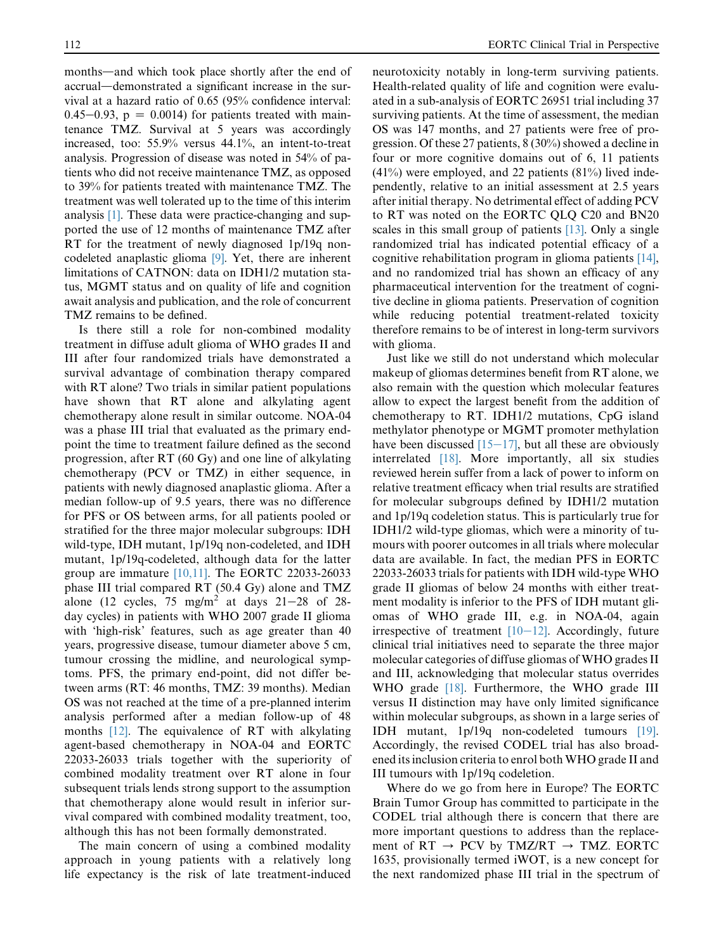months—and which took place shortly after the end of accrual-demonstrated a significant increase in the survival at a hazard ratio of 0.65 (95% confidence interval: 0.45–0.93,  $p = 0.0014$ ) for patients treated with maintenance TMZ. Survival at 5 years was accordingly increased, too: 55.9% versus 44.1%, an intent-to-treat analysis. Progression of disease was noted in 54% of patients who did not receive maintenance TMZ, as opposed to 39% for patients treated with maintenance TMZ. The treatment was well tolerated up to the time of this interim analysis [\[1\]](#page-4-0). These data were practice-changing and supported the use of 12 months of maintenance TMZ after RT for the treatment of newly diagnosed 1p/19q noncodeleted anaplastic glioma [\[9\].](#page-4-0) Yet, there are inherent limitations of CATNON: data on IDH1/2 mutation status, MGMT status and on quality of life and cognition await analysis and publication, and the role of concurrent TMZ remains to be defined.

Is there still a role for non-combined modality treatment in diffuse adult glioma of WHO grades II and III after four randomized trials have demonstrated a survival advantage of combination therapy compared with RT alone? Two trials in similar patient populations have shown that RT alone and alkylating agent chemotherapy alone result in similar outcome. NOA-04 was a phase III trial that evaluated as the primary endpoint the time to treatment failure defined as the second progression, after RT (60 Gy) and one line of alkylating chemotherapy (PCV or TMZ) in either sequence, in patients with newly diagnosed anaplastic glioma. After a median follow-up of 9.5 years, there was no difference for PFS or OS between arms, for all patients pooled or stratified for the three major molecular subgroups: IDH wild-type, IDH mutant, 1p/19q non-codeleted, and IDH mutant, 1p/19q-codeleted, although data for the latter group are immature [\[10,11\]](#page-4-0). The EORTC 22033-26033 phase III trial compared RT (50.4 Gy) alone and TMZ alone (12 cycles, 75 mg/m<sup>2</sup> at days  $21-28$  of 28day cycles) in patients with WHO 2007 grade II glioma with 'high-risk' features, such as age greater than 40 years, progressive disease, tumour diameter above 5 cm, tumour crossing the midline, and neurological symptoms. PFS, the primary end-point, did not differ between arms (RT: 46 months, TMZ: 39 months). Median OS was not reached at the time of a pre-planned interim analysis performed after a median follow-up of 48 months [\[12\].](#page-4-0) The equivalence of RT with alkylating agent-based chemotherapy in NOA-04 and EORTC 22033-26033 trials together with the superiority of combined modality treatment over RT alone in four subsequent trials lends strong support to the assumption that chemotherapy alone would result in inferior survival compared with combined modality treatment, too, although this has not been formally demonstrated.

The main concern of using a combined modality approach in young patients with a relatively long life expectancy is the risk of late treatment-induced

neurotoxicity notably in long-term surviving patients. Health-related quality of life and cognition were evaluated in a sub-analysis of EORTC 26951 trial including 37 surviving patients. At the time of assessment, the median OS was 147 months, and 27 patients were free of progression. Of these 27 patients, 8 (30%) showed a decline in four or more cognitive domains out of 6, 11 patients  $(41\%)$  were employed, and 22 patients  $(81\%)$  lived independently, relative to an initial assessment at 2.5 years after initial therapy. No detrimental effect of adding PCV to RT was noted on the EORTC QLQ C20 and BN20 scales in this small group of patients [\[13\]](#page-4-0). Only a single randomized trial has indicated potential efficacy of a cognitive rehabilitation program in glioma patients [\[14\]](#page-4-0), and no randomized trial has shown an efficacy of any pharmaceutical intervention for the treatment of cognitive decline in glioma patients. Preservation of cognition while reducing potential treatment-related toxicity therefore remains to be of interest in long-term survivors with glioma.

Just like we still do not understand which molecular makeup of gliomas determines benefit from RT alone, we also remain with the question which molecular features allow to expect the largest benefit from the addition of chemotherapy to RT. IDH1/2 mutations, CpG island methylator phenotype or MGMT promoter methylation have been discussed  $[15-17]$  $[15-17]$ , but all these are obviously interrelated [\[18\]](#page-5-0). More importantly, all six studies reviewed herein suffer from a lack of power to inform on relative treatment efficacy when trial results are stratified for molecular subgroups defined by IDH1/2 mutation and 1p/19q codeletion status. This is particularly true for IDH1/2 wild-type gliomas, which were a minority of tumours with poorer outcomes in all trials where molecular data are available. In fact, the median PFS in EORTC 22033-26033 trials for patients with IDH wild-type WHO grade II gliomas of below 24 months with either treatment modality is inferior to the PFS of IDH mutant gliomas of WHO grade III, e.g. in NOA-04, again irrespective of treatment  $[10-12]$  $[10-12]$ . Accordingly, future clinical trial initiatives need to separate the three major molecular categories of diffuse gliomas of WHO grades II and III, acknowledging that molecular status overrides WHO grade [\[18\].](#page-5-0) Furthermore, the WHO grade III versus II distinction may have only limited significance within molecular subgroups, as shown in a large series of IDH mutant, 1p/19q non-codeleted tumours [\[19\]](#page-5-0). Accordingly, the revised CODEL trial has also broadened its inclusion criteria to enrol both WHO grade II and III tumours with 1p/19q codeletion.

Where do we go from here in Europe? The EORTC Brain Tumor Group has committed to participate in the CODEL trial although there is concern that there are more important questions to address than the replacement of  $RT \rightarrow PCV$  by TMZ/RT  $\rightarrow TMZ$ . EORTC 1635, provisionally termed iWOT, is a new concept for the next randomized phase III trial in the spectrum of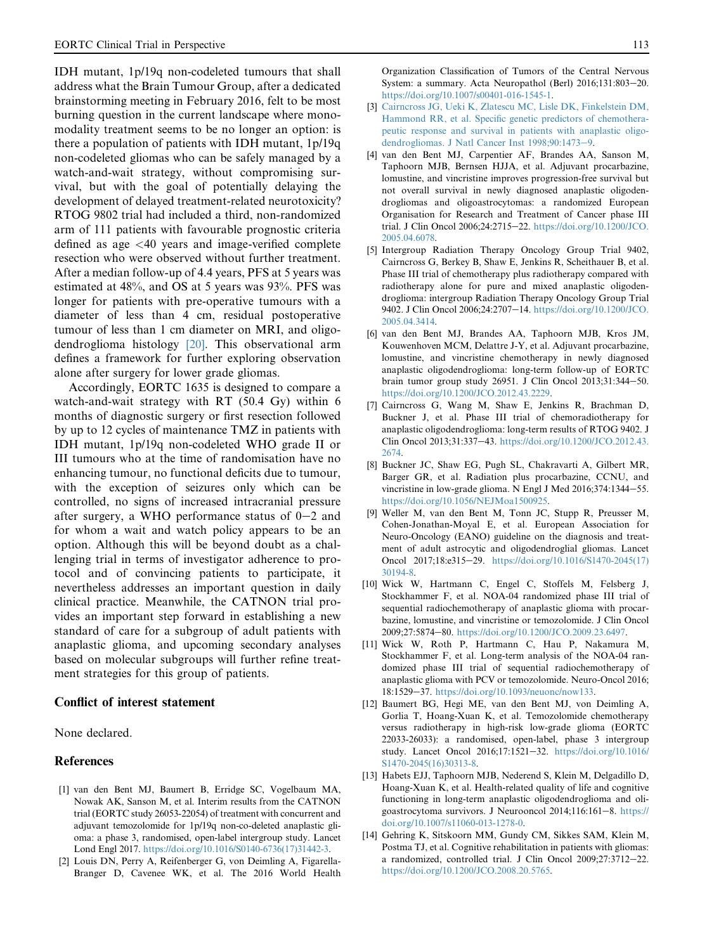<span id="page-4-0"></span>IDH mutant, 1p/19q non-codeleted tumours that shall address what the Brain Tumour Group, after a dedicated brainstorming meeting in February 2016, felt to be most burning question in the current landscape where monomodality treatment seems to be no longer an option: is there a population of patients with IDH mutant, 1p/19q non-codeleted gliomas who can be safely managed by a watch-and-wait strategy, without compromising survival, but with the goal of potentially delaying the development of delayed treatment-related neurotoxicity? RTOG 9802 trial had included a third, non-randomized arm of 111 patients with favourable prognostic criteria defined as age <40 years and image-verified complete resection who were observed without further treatment. After a median follow-up of 4.4 years, PFS at 5 years was estimated at 48%, and OS at 5 years was 93%. PFS was longer for patients with pre-operative tumours with a diameter of less than 4 cm, residual postoperative tumour of less than 1 cm diameter on MRI, and oligodendroglioma histology [\[20\].](#page-5-0) This observational arm defines a framework for further exploring observation alone after surgery for lower grade gliomas.

Accordingly, EORTC 1635 is designed to compare a watch-and-wait strategy with RT (50.4 Gy) within 6 months of diagnostic surgery or first resection followed by up to 12 cycles of maintenance TMZ in patients with IDH mutant, 1p/19q non-codeleted WHO grade II or III tumours who at the time of randomisation have no enhancing tumour, no functional deficits due to tumour, with the exception of seizures only which can be controlled, no signs of increased intracranial pressure after surgery, a WHO performance status of  $0-2$  and for whom a wait and watch policy appears to be an option. Although this will be beyond doubt as a challenging trial in terms of investigator adherence to protocol and of convincing patients to participate, it nevertheless addresses an important question in daily clinical practice. Meanwhile, the CATNON trial provides an important step forward in establishing a new standard of care for a subgroup of adult patients with anaplastic glioma, and upcoming secondary analyses based on molecular subgroups will further refine treatment strategies for this group of patients.

## Conflict of interest statement

None declared.

## References

- [1] van den Bent MJ, Baumert B, Erridge SC, Vogelbaum MA, Nowak AK, Sanson M, et al. Interim results from the CATNON trial (EORTC study 26053-22054) of treatment with concurrent and adjuvant temozolomide for 1p/19q non-co-deleted anaplastic glioma: a phase 3, randomised, open-label intergroup study. Lancet Lond Engl 2017. [https://doi.org/10.1016/S0140-6736\(17\)31442-3](https://doi.org/10.1016/S0140-6736(17)31442-3).
- [2] Louis DN, Perry A, Reifenberger G, von Deimling A, Figarella-Branger D, Cavenee WK, et al. The 2016 World Health

Organization Classification of Tumors of the Central Nervous System: a summary. Acta Neuropathol (Berl)  $2016;131:803-20$ . <https://doi.org/10.1007/s00401-016-1545-1>.

- [3] [Cairncross JG, Ueki K, Zlatescu MC, Lisle DK, Finkelstein DM,](http://refhub.elsevier.com/S0959-8049(17)31359-X/sref3) [Hammond RR, et al. Specific genetic predictors of chemothera](http://refhub.elsevier.com/S0959-8049(17)31359-X/sref3)[peutic response and survival in patients with anaplastic oligo](http://refhub.elsevier.com/S0959-8049(17)31359-X/sref3)[dendrogliomas. J Natl Cancer Inst 1998;90:1473](http://refhub.elsevier.com/S0959-8049(17)31359-X/sref3)-[9](http://refhub.elsevier.com/S0959-8049(17)31359-X/sref3).
- [4] van den Bent MJ, Carpentier AF, Brandes AA, Sanson M, Taphoorn MJB, Bernsen HJJA, et al. Adjuvant procarbazine, lomustine, and vincristine improves progression-free survival but not overall survival in newly diagnosed anaplastic oligodendrogliomas and oligoastrocytomas: a randomized European Organisation for Research and Treatment of Cancer phase III trial. J Clin Oncol 2006;24:2715-22. [https://doi.org/10.1200/JCO.](https://doi.org/10.1200/JCO.2005.04.6078) [2005.04.6078.](https://doi.org/10.1200/JCO.2005.04.6078)
- [5] Intergroup Radiation Therapy Oncology Group Trial 9402, Cairncross G, Berkey B, Shaw E, Jenkins R, Scheithauer B, et al. Phase III trial of chemotherapy plus radiotherapy compared with radiotherapy alone for pure and mixed anaplastic oligodendroglioma: intergroup Radiation Therapy Oncology Group Trial 9402. J Clin Oncol 2006;24:2707-14. [https://doi.org/10.1200/JCO.](https://doi.org/10.1200/JCO.2005.04.3414) [2005.04.3414.](https://doi.org/10.1200/JCO.2005.04.3414)
- [6] van den Bent MJ, Brandes AA, Taphoorn MJB, Kros JM, Kouwenhoven MCM, Delattre J-Y, et al. Adjuvant procarbazine, lomustine, and vincristine chemotherapy in newly diagnosed anaplastic oligodendroglioma: long-term follow-up of EORTC brain tumor group study 26951. J Clin Oncol  $2013;31:344-50$ . [https://doi.org/10.1200/JCO.2012.43.2229.](https://doi.org/10.1200/JCO.2012.43.2229)
- [7] Cairncross G, Wang M, Shaw E, Jenkins R, Brachman D, Buckner J, et al. Phase III trial of chemoradiotherapy for anaplastic oligodendroglioma: long-term results of RTOG 9402. J Clin Oncol 2013;31:337-43. [https://doi.org/10.1200/JCO.2012.43.](https://doi.org/10.1200/JCO.2012.43.2674) [2674.](https://doi.org/10.1200/JCO.2012.43.2674)
- [8] Buckner JC, Shaw EG, Pugh SL, Chakravarti A, Gilbert MR, Barger GR, et al. Radiation plus procarbazine, CCNU, and vincristine in low-grade glioma. N Engl J Med  $2016;374:1344-55$ . [https://doi.org/10.1056/NEJMoa1500925.](https://doi.org/10.1056/NEJMoa1500925)
- [9] Weller M, van den Bent M, Tonn JC, Stupp R, Preusser M, Cohen-Jonathan-Moyal E, et al. European Association for Neuro-Oncology (EANO) guideline on the diagnosis and treatment of adult astrocytic and oligodendroglial gliomas. Lancet Oncol 2017;18:e315-29. [https://doi.org/10.1016/S1470-2045\(17\)](https://doi.org/10.1016/S1470-2045(17)30194-8) [30194-8](https://doi.org/10.1016/S1470-2045(17)30194-8).
- [10] Wick W, Hartmann C, Engel C, Stoffels M, Felsberg J, Stockhammer F, et al. NOA-04 randomized phase III trial of sequential radiochemotherapy of anaplastic glioma with procarbazine, lomustine, and vincristine or temozolomide. J Clin Oncol 2009;27:5874-80. [https://doi.org/10.1200/JCO.2009.23.6497.](https://doi.org/10.1200/JCO.2009.23.6497)
- [11] Wick W, Roth P, Hartmann C, Hau P, Nakamura M, Stockhammer F, et al. Long-term analysis of the NOA-04 randomized phase III trial of sequential radiochemotherapy of anaplastic glioma with PCV or temozolomide. Neuro-Oncol 2016; 18:1529-37. <https://doi.org/10.1093/neuonc/now133>.
- [12] Baumert BG, Hegi ME, van den Bent MJ, von Deimling A, Gorlia T, Hoang-Xuan K, et al. Temozolomide chemotherapy versus radiotherapy in high-risk low-grade glioma (EORTC 22033-26033): a randomised, open-label, phase 3 intergroup study. Lancet Oncol 2016;17:1521-32. [https://doi.org/10.1016/](https://doi.org/10.1016/S1470-2045(16)30313-8) [S1470-2045\(16\)30313-8](https://doi.org/10.1016/S1470-2045(16)30313-8).
- [13] Habets EJJ, Taphoorn MJB, Nederend S, Klein M, Delgadillo D, Hoang-Xuan K, et al. Health-related quality of life and cognitive functioning in long-term anaplastic oligodendroglioma and oligoastrocytoma survivors. J Neurooncol 2014;116:161-8. [https://](https://doi.org/10.1007/s11060-013-1278-0) [doi.org/10.1007/s11060-013-1278-0](https://doi.org/10.1007/s11060-013-1278-0).
- [14] Gehring K, Sitskoorn MM, Gundy CM, Sikkes SAM, Klein M, Postma TJ, et al. Cognitive rehabilitation in patients with gliomas: a randomized, controlled trial. J Clin Oncol  $2009:27:3712-22$ . [https://doi.org/10.1200/JCO.2008.20.5765.](https://doi.org/10.1200/JCO.2008.20.5765)